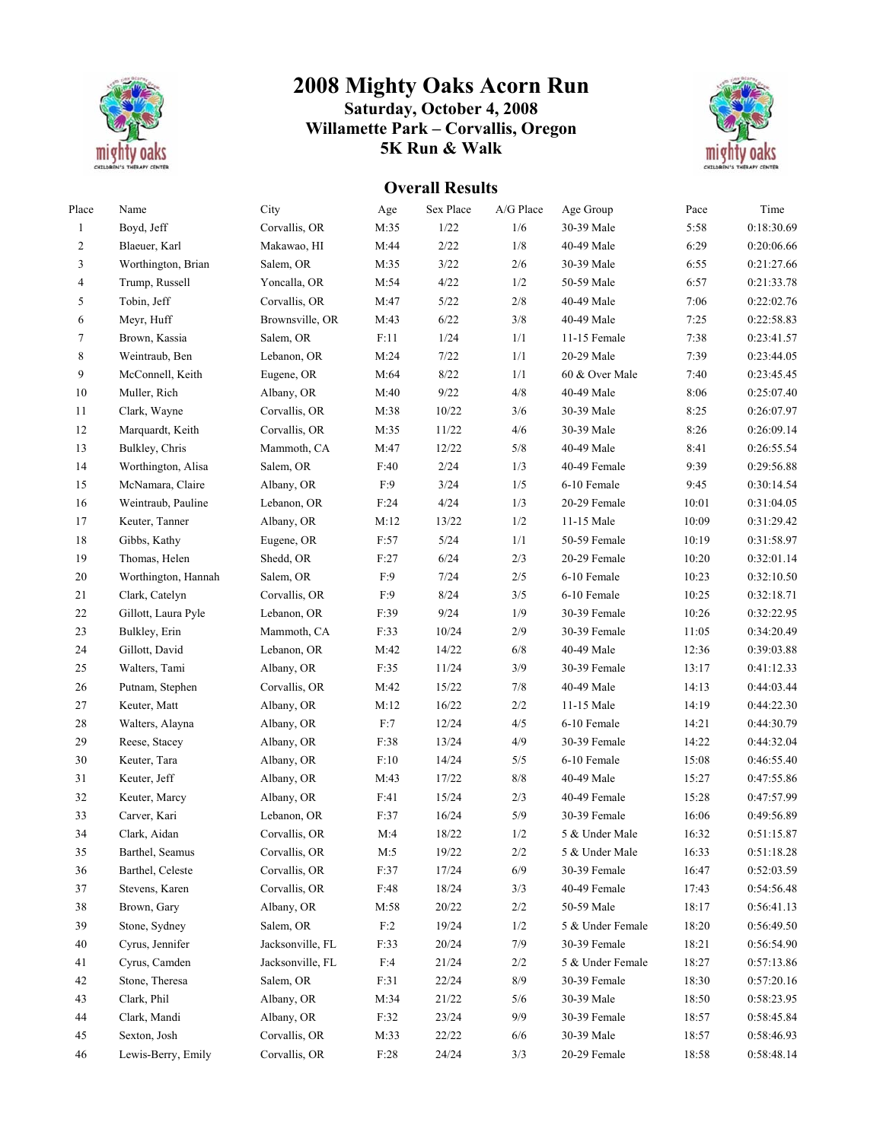

## **2008 Mighty Oaks Acorn Run**

## **Saturday, October 4, 2008 Willamette Park – Corvallis, Oregon 5K Run & Walk**



## **Overall Results**

| Place          | Name                | City             | Age        | Sex Place | A/G Place    | Age Group        | Pace  | Time       |
|----------------|---------------------|------------------|------------|-----------|--------------|------------------|-------|------------|
| $\mathbf{1}$   | Boyd, Jeff          | Corvallis, OR    | M:35       | $1/22$    | 1/6          | 30-39 Male       | 5:58  | 0:18:30.69 |
| $\overline{2}$ | Blaeuer, Karl       | Makawao, HI      | M:44       | 2/22      | 1/8          | 40-49 Male       | 6:29  | 0:20:06.66 |
| 3              | Worthington, Brian  | Salem, OR        | M:35       | $3/22$    | 2/6          | 30-39 Male       | 6:55  | 0:21:27.66 |
| 4              | Trump, Russell      | Yoncalla, OR     | M:54       | 4/22      | 1/2          | 50-59 Male       | 6:57  | 0:21:33.78 |
| 5              | Tobin, Jeff         | Corvallis, OR    | M:47       | 5/22      | $2/\sqrt{8}$ | 40-49 Male       | 7:06  | 0:22:02.76 |
| 6              | Meyr, Huff          | Brownsville, OR  | M:43       | 6/22      | 3/8          | 40-49 Male       | 7:25  | 0:22:58.83 |
| $\tau$         | Brown, Kassia       | Salem, OR        | F:11       | 1/24      | 1/1          | 11-15 Female     | 7:38  | 0:23:41.57 |
| $\,$ 8 $\,$    | Weintraub, Ben      | Lebanon, OR      | M:24       | 7/22      | 1/1          | 20-29 Male       | 7:39  | 0:23:44.05 |
| 9              | McConnell, Keith    | Eugene, OR       | M:64       | 8/22      | 1/1          | 60 & Over Male   | 7:40  | 0:23:45.45 |
| $10\,$         | Muller, Rich        | Albany, OR       | M:40       | 9/22      | 4/8          | 40-49 Male       | 8:06  | 0:25:07.40 |
| 11             | Clark, Wayne        | Corvallis, OR    | M:38       | 10/22     | 3/6          | 30-39 Male       | 8:25  | 0:26:07.97 |
| 12             | Marquardt, Keith    | Corvallis, OR    | M:35       | 11/22     | 4/6          | 30-39 Male       | 8:26  | 0:26:09.14 |
| 13             | Bulkley, Chris      | Mammoth, CA      | M:47       | 12/22     | 5/8          | 40-49 Male       | 8:41  | 0:26:55.54 |
| 14             | Worthington, Alisa  | Salem, OR        | F:40       | 2/24      | 1/3          | 40-49 Female     | 9:39  | 0:29:56.88 |
| 15             | McNamara, Claire    | Albany, OR       | F:9        | $3/24$    | 1/5          | 6-10 Female      | 9:45  | 0:30:14.54 |
| 16             | Weintraub, Pauline  | Lebanon, OR      | F:24       | 4/24      | 1/3          | 20-29 Female     | 10:01 | 0:31:04.05 |
| 17             | Keuter, Tanner      | Albany, OR       | M:12       | 13/22     | 1/2          | 11-15 Male       | 10:09 | 0:31:29.42 |
| $18\,$         | Gibbs, Kathy        | Eugene, OR       | F:57       | 5/24      | 1/1          | 50-59 Female     | 10:19 | 0:31:58.97 |
| 19             | Thomas, Helen       | Shedd, OR        | F:27       | 6/24      | $2/3$        | 20-29 Female     | 10:20 | 0:32:01.14 |
| $20\,$         | Worthington, Hannah | Salem, OR        | F:9        | 7/24      | 2/5          | 6-10 Female      | 10:23 | 0:32:10.50 |
| 21             | Clark, Catelyn      | Corvallis, OR    | F:9        | 8/24      | 3/5          | 6-10 Female      | 10:25 | 0:32:18.71 |
| 22             | Gillott, Laura Pyle | Lebanon, OR      | F:39       | 9/24      | 1/9          | 30-39 Female     | 10:26 | 0:32:22.95 |
| 23             | Bulkley, Erin       | Mammoth, CA      | F:33       | 10/24     | 2/9          | 30-39 Female     | 11:05 | 0:34:20.49 |
| 24             | Gillott, David      | Lebanon, OR      | M:42       | 14/22     | 6/8          | 40-49 Male       | 12:36 | 0:39:03.88 |
| $25\,$         | Walters, Tami       | Albany, OR       | F:35       | 11/24     | 3/9          | 30-39 Female     | 13:17 | 0:41:12.33 |
| $26\,$         | Putnam, Stephen     | Corvallis, OR    | M:42       | 15/22     | $7/8$        | 40-49 Male       | 14:13 | 0:44:03.44 |
| $27\,$         | Keuter, Matt        | Albany, OR       | M:12       | 16/22     | $2/2\,$      | 11-15 Male       | 14:19 | 0:44:22.30 |
| $28\,$         | Walters, Alayna     | Albany, OR       | F:7        | 12/24     | 4/5          | 6-10 Female      | 14:21 | 0:44:30.79 |
| 29             | Reese, Stacey       | Albany, OR       | F:38       | 13/24     | 4/9          | 30-39 Female     | 14:22 | 0:44:32.04 |
| $30\,$         | Keuter, Tara        | Albany, OR       | F:10       | 14/24     | 5/5          | 6-10 Female      | 15:08 | 0:46:55.40 |
| 31             | Keuter, Jeff        | Albany, OR       | M:43       | 17/22     | $8/8\,$      | 40-49 Male       | 15:27 | 0:47:55.86 |
| 32             | Keuter, Marcy       | Albany, OR       | F:41       | 15/24     | 2/3          | 40-49 Female     | 15:28 | 0:47:57.99 |
| 33             | Carver, Kari        | Lebanon, OR      | F:37       | 16/24     | $5/9$        | 30-39 Female     | 16:06 | 0:49:56.89 |
| 34             | Clark, Aidan        | Corvallis, OR    | M:4        | 18/22     | 1/2          | 5 & Under Male   | 16:32 | 0:51:15.87 |
| 35             | Barthel, Seamus     | Corvallis, OR    | M:5        | 19/22     | 2/2          | 5 & Under Male   | 16:33 | 0:51:18.28 |
| 36             | Barthel, Celeste    | Corvallis, OR    | F:37       | 17/24     | 6/9          | 30-39 Female     | 16:47 | 0:52:03.59 |
| 37             | Stevens, Karen      | Corvallis, OR    | F:48       | 18/24     | 3/3          | 40-49 Female     | 17:43 | 0:54:56.48 |
| 38             | Brown, Gary         | Albany, OR       | M:58       | 20/22     | $2/2$        | 50-59 Male       | 18:17 | 0:56:41.13 |
| 39             | Stone, Sydney       | Salem, OR        | F:2        | 19/24     | 1/2          | 5 & Under Female | 18:20 | 0:56:49.50 |
| 40             | Cyrus, Jennifer     | Jacksonville, FL | F:33       | 20/24     | 7/9          | 30-39 Female     | 18:21 | 0:56:54.90 |
| 41             | Cyrus, Camden       | Jacksonville, FL | F:4        | 21/24     | 2/2          | 5 & Under Female | 18:27 | 0:57:13.86 |
| 42             | Stone, Theresa      | Salem, OR        | F:31       | 22/24     | 8/9          | 30-39 Female     | 18:30 | 0:57:20.16 |
| 43             | Clark, Phil         | Albany, OR       | M:34       | 21/22     | 5/6          | 30-39 Male       | 18:50 | 0:58:23.95 |
| 44             | Clark, Mandi        | Albany, OR       | F:32       | 23/24     | 9/9          | 30-39 Female     | 18:57 | 0:58:45.84 |
| 45             | Sexton, Josh        | Corvallis, OR    | M:33       | 22/22     | 6/6          | 30-39 Male       | 18:57 | 0:58:46.93 |
| 46             | Lewis-Berry, Emily  | Corvallis, OR    | $\rm F.28$ | 24/24     | 3/3          | 20-29 Female     | 18:58 | 0:58:48.14 |